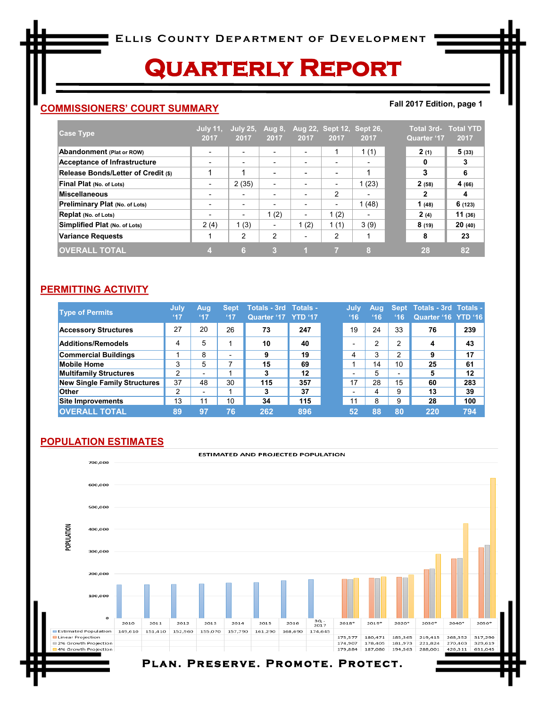# **Quarterly Report**

## **COMMISSIONERS' COURT SUMMARY**

#### **Fall 2017 Edition, page 1**

| <b>Case Type</b>                      | <b>July 11.</b><br>2017  | $^{\circ}$ July 25,<br>2017 | <b>Aug 8,</b><br>2017    | 2017                     | 2017 | Aug 22, Sept 12, Sept 26,<br>2017 | Quarter '17 | <b>Total 3rd- Total YTD</b><br>2017 |
|---------------------------------------|--------------------------|-----------------------------|--------------------------|--------------------------|------|-----------------------------------|-------------|-------------------------------------|
| Abandonment (Plat or ROW)             | $\overline{\phantom{0}}$ | $\overline{\phantom{0}}$    | $\overline{\phantom{0}}$ | ٠                        |      | 1(1)                              | 2(1)        | 5(33)                               |
| <b>Acceptance of Infrastructure</b>   |                          | $\overline{\phantom{0}}$    |                          | $\overline{\phantom{a}}$ |      | $\overline{\phantom{a}}$          | 0           | 3                                   |
| Release Bonds/Letter of Credit (\$)   |                          | ۸                           |                          | $\,$                     |      |                                   | 3           | 6                                   |
| Final Plat (No. of Lots)              | $\overline{\phantom{0}}$ | 2(35)                       | ٠                        | $\overline{\phantom{a}}$ |      | 1(23)                             | 2(58)       | 4 (66)                              |
| <b>Miscellaneous</b>                  | $\overline{\phantom{0}}$ | $\overline{\phantom{0}}$    |                          | ٠                        | 2    | ٠                                 | 2           | 4                                   |
| <b>Preliminary Plat (No. of Lots)</b> | $\overline{\phantom{a}}$ | $\overline{\phantom{0}}$    |                          | $\overline{\phantom{0}}$ |      | 1(48)                             | 1(48)       | 6(123)                              |
| Replat (No. of Lots)                  | $\overline{\phantom{0}}$ | $\overline{\phantom{0}}$    | 1(2)                     | $\overline{\phantom{a}}$ | 1(2) | ٠                                 | 2(4)        | 11(36)                              |
| Simplified Plat (No. of Lots)         | 2(4)                     | 1(3)                        | ٠                        | 1(2)                     | 1(1) | 3(9)                              | 8(19)       | 20(40)                              |
| Variance Requests                     |                          | 2                           | 2                        | -                        | 2    |                                   | 8           | 23                                  |
| <b>OVERALL TOTAL</b>                  |                          | 6                           | з                        |                          |      | 8                                 | 28          | 82                                  |

#### **PERMITTING ACTIVITY**

| <b>Type of Permits</b>              | July<br>47 | Aug<br>47                | <b>Sept</b><br>47 | Totals - 3rd Totals -<br>Quarter '17 YTD '17 |     | July<br>16               | Aug<br>16 | 16 | Sept Totals - 3rd Totals -<br>Quarter '16 YTD '16 |     |
|-------------------------------------|------------|--------------------------|-------------------|----------------------------------------------|-----|--------------------------|-----------|----|---------------------------------------------------|-----|
| <b>Accessory Structures</b>         | 27         | 20                       | 26                | 73                                           | 247 | 19                       | 24        | 33 | 76                                                | 239 |
| <b>Additions/Remodels</b>           | 4          | 5                        | 1                 | 10                                           | 40  |                          | 2         | 2  | 4                                                 | 43  |
| <b>Commercial Buildings</b>         |            | 8                        | -                 | 9                                            | 19  | 4                        | 3         | 2  | 9                                                 | 17  |
| <b>Mobile Home</b>                  | 3          | 5                        |                   | 15                                           | 69  |                          | 14        | 10 | 25                                                | 61  |
| <b>Multifamily Structures</b>       | ◠          | $\overline{\phantom{0}}$ |                   | 3                                            | 12  |                          | 5         |    | 5                                                 | 12  |
| <b>New Single Family Structures</b> | 37         | 48                       | 30                | 115                                          | 357 | 17                       | 28        | 15 | 60                                                | 283 |
| <b>Other</b>                        | ົ          | $\overline{\phantom{a}}$ |                   | 3                                            | 37  | $\overline{\phantom{0}}$ | 4         | 9  | 13                                                | 39  |
| <b>Site Improvements</b>            | 13         | 11                       | 10                | 34                                           | 115 | 11                       | 8         | 9  | 28                                                | 100 |
| <b>OVERALL TOTAL</b>                | 89         | 97                       | 76                | 262                                          | 896 | 52                       | 88        | 80 | 220                                               | 794 |

## **POPULATION ESTIMATES**